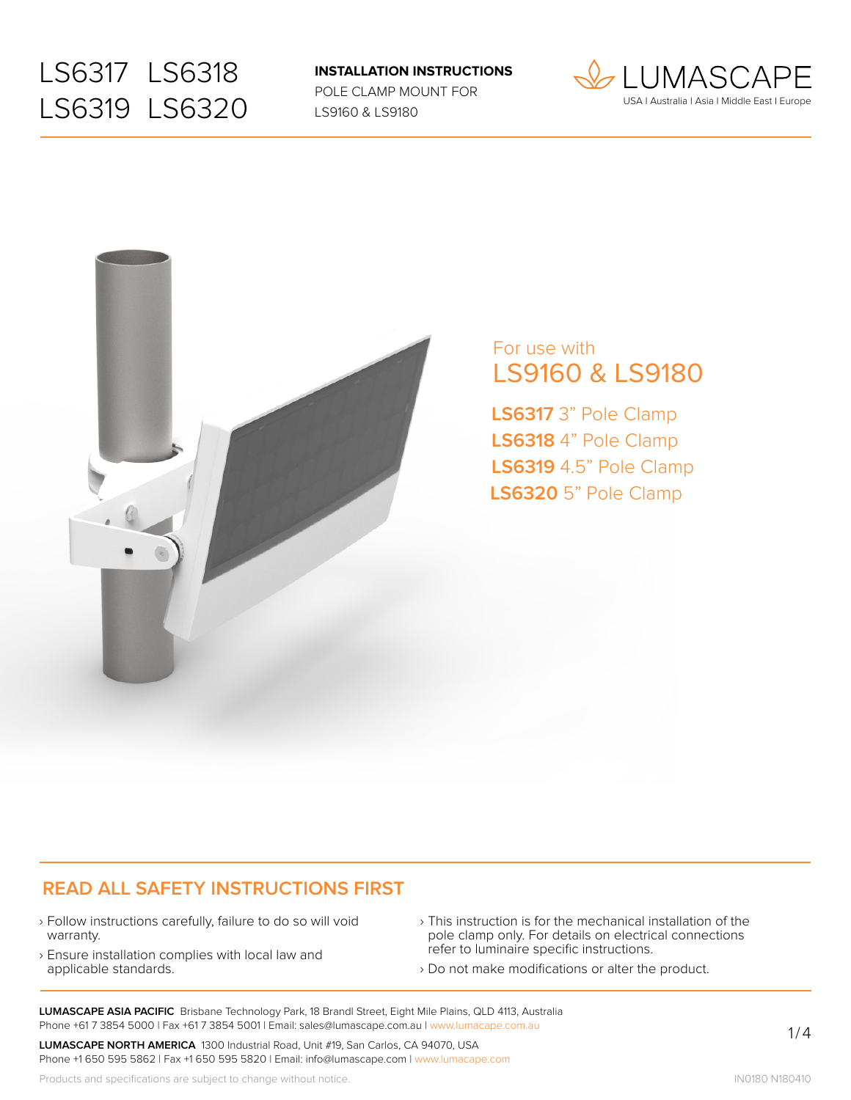#### **INSTALLATION INSTRUCTIONS**

POLE CLAMP MOUNT FOR LS9160 & LS9180





#### For use with LS9160 & LS9180

**LS6317** 3" Pole Clamp **LS6318** 4" Pole Clamp **LS6319** 4.5" Pole Clamp **LS6320** 5" Pole Clamp

#### **READ ALL SAFETY INSTRUCTIONS FIRST**

- › Follow instructions carefully, failure to do so will void warranty.
- › Ensure installation complies with local law and applicable standards.
- › This instruction is for the mechanical installation of the pole clamp only. For details on electrical connections refer to luminaire specific instructions.
- › Do not make modifications or alter the product.

**LUMASCAPE ASIA PACIFIC** Brisbane Technology Park, 18 Brandl Street, Eight Mile Plains, QLD 4113, Australia Phone +61 7 3854 5000 | Fax +61 7 3854 5001 | Email: sales@lumascape.com.au | www.lumacape.com.au

**LUMASCAPE NORTH AMERICA** 1300 Industrial Road, Unit #19, San Carlos, CA 94070, USA Phone +1 650 595 5862 | Fax +1 650 595 5820 | Email: info@lumascape.com | www.lumacape.com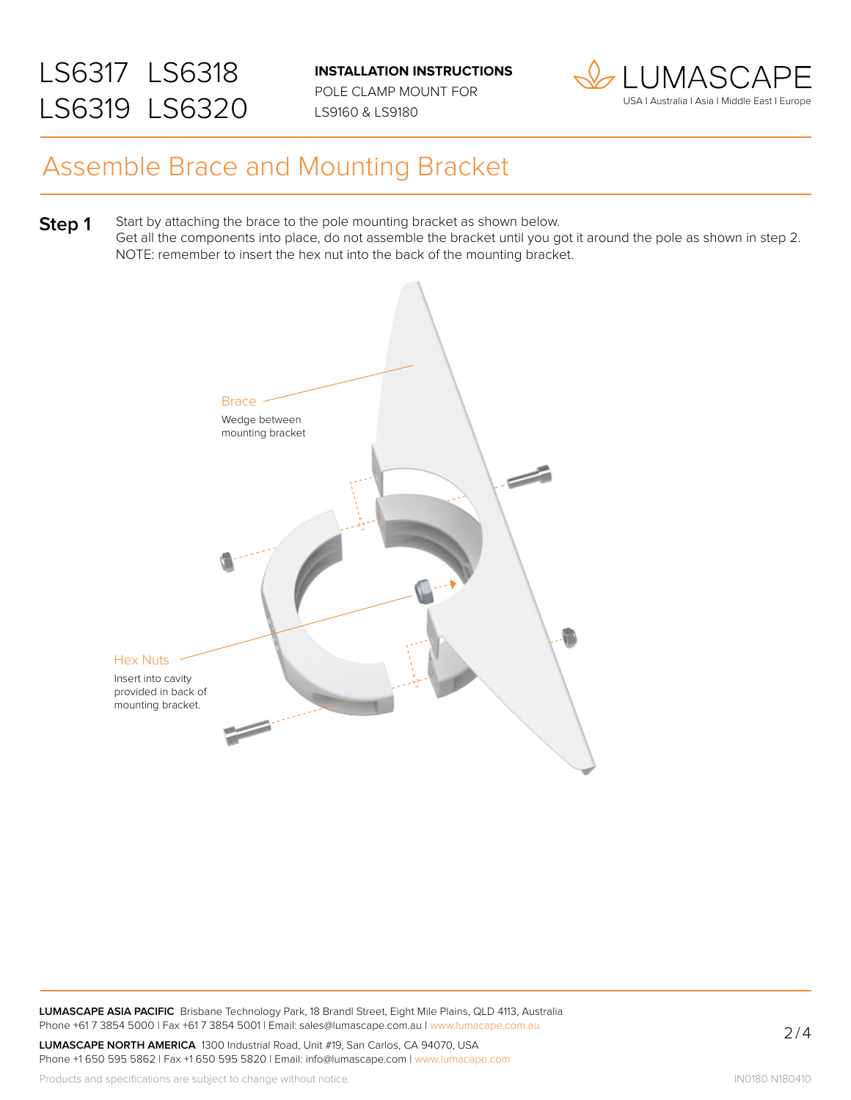**INSTALLATION INSTRUCTIONS**

POLE CLAMP MOUNT FOR LS9160 & LS9180



### Assemble Brace and Mounting Bracket

**Step 1** Start by attaching the brace to the pole mounting bracket as shown below. Get all the components into place, do not assemble the bracket until you got it around the pole as shown in step 2. NOTE: remember to insert the hex nut into the back of the mounting bracket.



**LUMASCAPE ASIA PACIFIC** Brisbane Technology Park, 18 Brandl Street, Eight Mile Plains, QLD 4113, Australia Phone +61 7 3854 5000 | Fax +61 7 3854 5001 | Email: sales@lumascape.com.au | www.lumacape.com.au

**LUMASCAPE NORTH AMERICA** 1300 Industrial Road, Unit #19, San Carlos, CA 94070, USA Phone +1 650 595 5862 | Fax +1 650 595 5820 | Email: info@lumascape.com | www.lumacape.com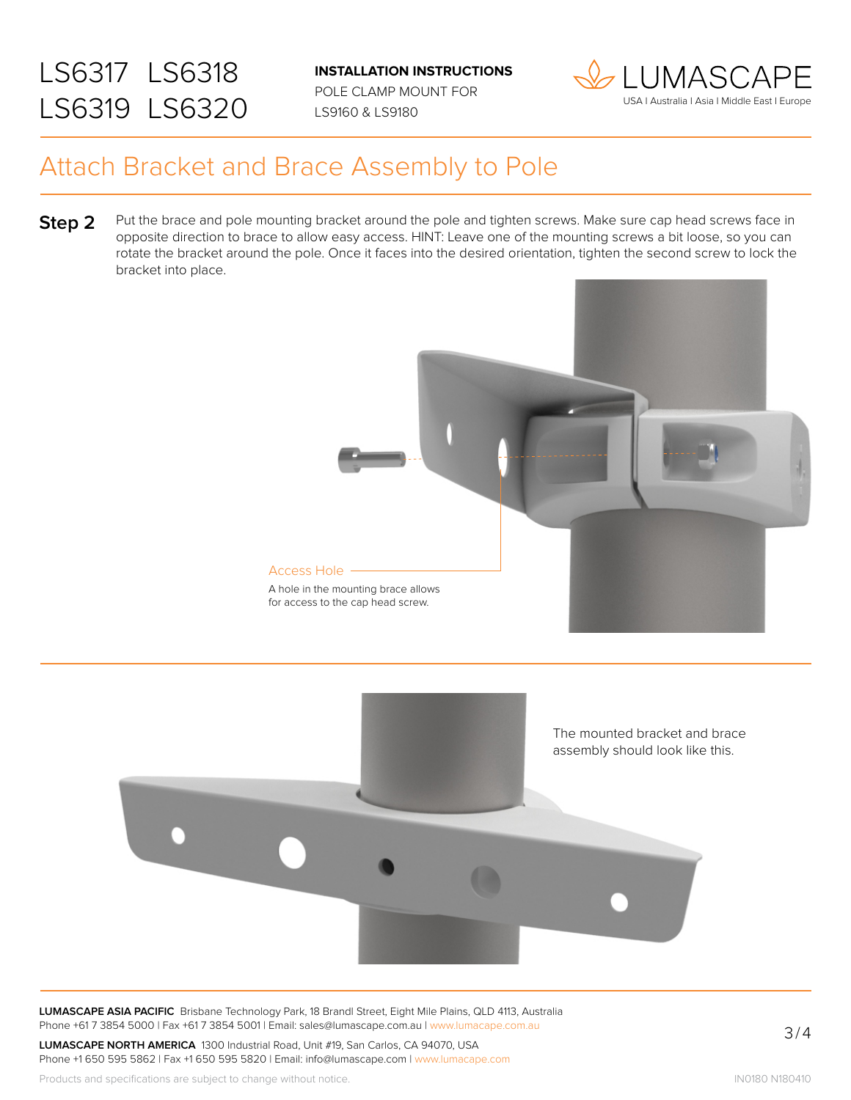**INSTALLATION INSTRUCTIONS**

POLE CLAMP MOUNT FOR LS9160 & LS9180



### Attach Bracket and Brace Assembly to Pole

**Step 2** Put the brace and pole mounting bracket around the pole and tighten screws. Make sure cap head screws face in opposite direction to brace to allow easy access. HINT: Leave one of the mounting screws a bit loose, so you can rotate the bracket around the pole. Once it faces into the desired orientation, tighten the second screw to lock the bracket into place.





**LUMASCAPE ASIA PACIFIC** Brisbane Technology Park, 18 Brandl Street, Eight Mile Plains, QLD 4113, Australia Phone +61 7 3854 5000 | Fax +61 7 3854 5001 | Email: sales@lumascape.com.au | www.lumacape.com.au

**LUMASCAPE NORTH AMERICA** 1300 Industrial Road, Unit #19, San Carlos, CA 94070, USA Phone +1 650 595 5862 | Fax +1 650 595 5820 | Email: info@lumascape.com | www.lumacape.com

Products and specifications are subject to change without notice.